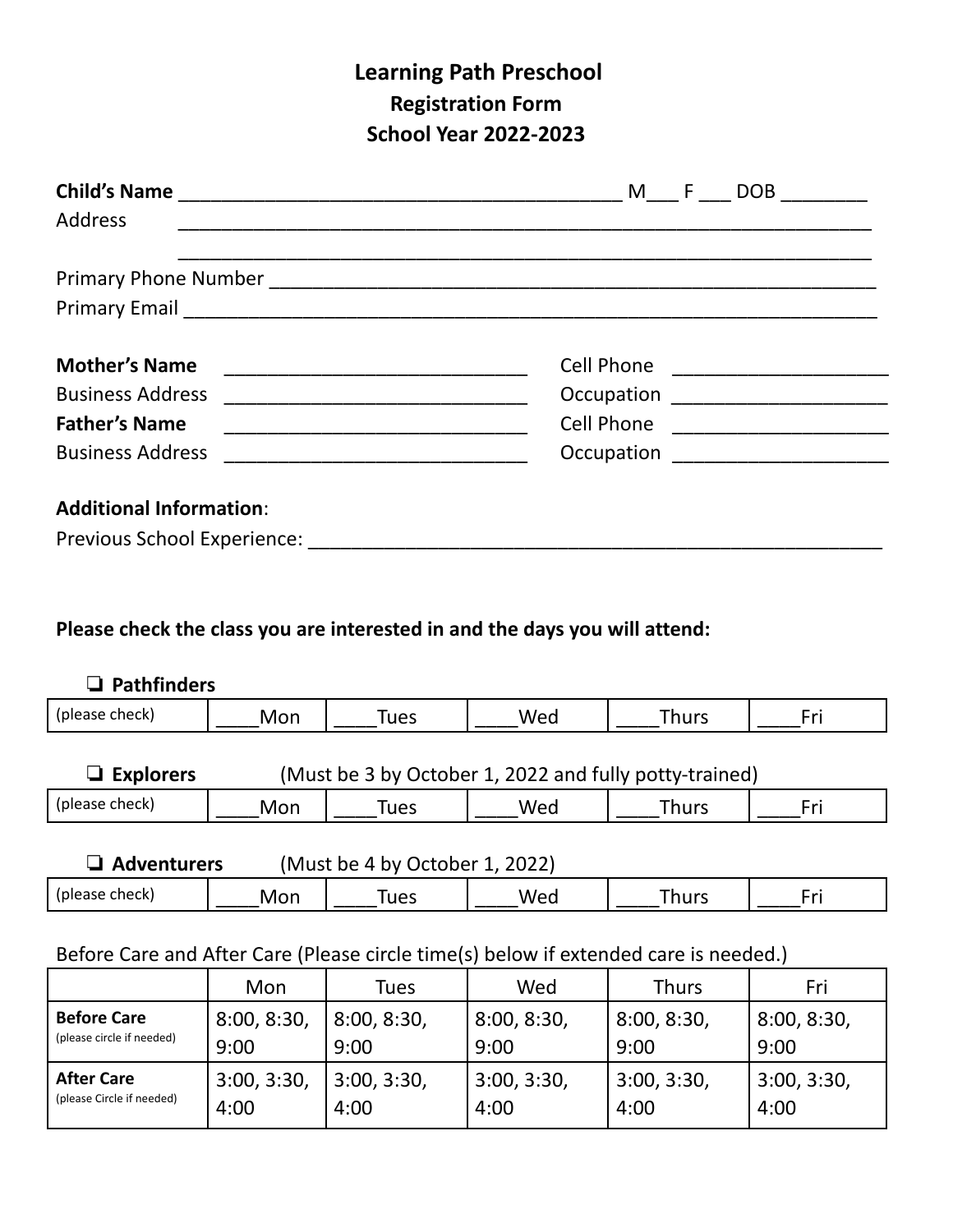## **Learning Path Preschool Registration Form School Year 2022-2023**

| <b>Child's Name</b>            | $F =$<br>M<br>DOB                   |
|--------------------------------|-------------------------------------|
| <b>Address</b>                 |                                     |
|                                |                                     |
|                                |                                     |
| <b>Mother's Name</b>           | Cell Phone ________________________ |
| <b>Business Address</b>        | Occupation _______________________  |
| <b>Father's Name</b>           | Cell Phone                          |
| <b>Business Address</b>        | Occupation ______________________   |
| <b>Additional Information:</b> |                                     |
| Previous School Experience:    |                                     |

## **Please check the class you are interested in and the days you will attend:**

| $\Box$ Pathfinders                                                         |     |      |     |              |     |
|----------------------------------------------------------------------------|-----|------|-----|--------------|-----|
| (please check)                                                             | Mon | Tues | Wed | <b>Thurs</b> | Fri |
| (Must be 3 by October 1, 2022 and fully potty-trained)<br>$\Box$ Explorers |     |      |     |              |     |
| (please check)                                                             | Mon | Tues | Wed | <b>Thurs</b> | Fri |
| $(Muct$ ha A by Octobor 1, 2022)<br>Advanturare                            |     |      |     |              |     |

| Wec<br>(please check)<br>īues<br>$\sim$<br>hurs<br>-IVIOL. | <b>AUVENTURES</b> | TIVIUST DE 4 DY OCTODEL<br><b>ZUZZI</b> |  |  |  |
|------------------------------------------------------------|-------------------|-----------------------------------------|--|--|--|
|                                                            |                   |                                         |  |  |  |

## Before Care and After Care (Please circle time(s) below if extended care is needed.)

|                                                 | Mon         | Tues        | Wed         | <b>Thurs</b> | Fri         |
|-------------------------------------------------|-------------|-------------|-------------|--------------|-------------|
| <b>Before Care</b><br>(please circle if needed) | 8:00, 8:30, | 8:00, 8:30, | 8:00, 8:30, | 8:00, 8:30,  | 8:00, 8:30, |
|                                                 | 9:00        | 9:00        | 9:00        | 9:00         | 9:00        |
| <b>After Care</b><br>(please Circle if needed)  | 3:00, 3:30, | 3:00, 3:30, | 3:00, 3:30, | 3:00, 3:30,  | 3:00, 3:30, |
|                                                 | 4:00        | 4:00        | 4:00        | 4:00         | 4:00        |